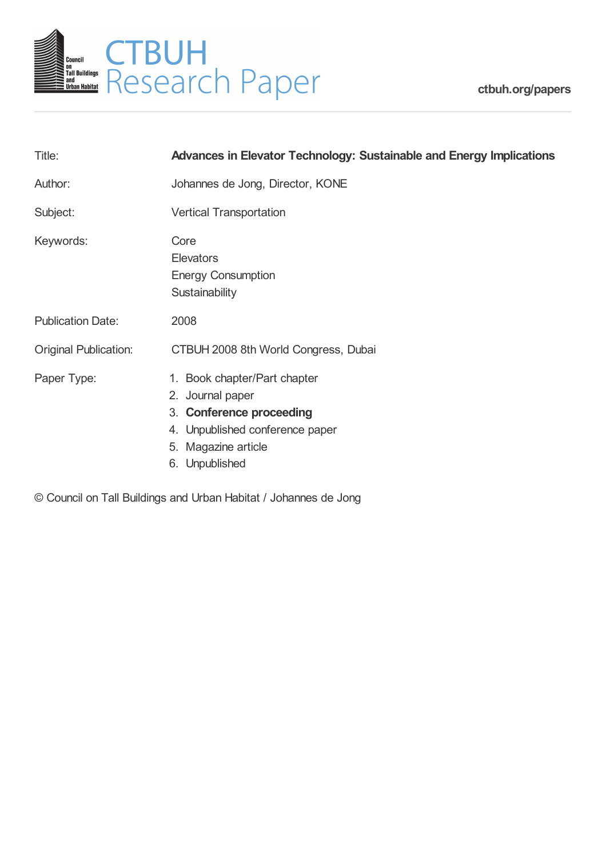

**[ctbuh.org/papers](http://ctbuh.org/papers)**

| Title:                       | <b>Advances in Elevator Technology: Sustainable and Energy Implications</b>                                                                              |
|------------------------------|----------------------------------------------------------------------------------------------------------------------------------------------------------|
| Author:                      | Johannes de Jong, Director, KONE                                                                                                                         |
| Subject:                     | <b>Vertical Transportation</b>                                                                                                                           |
| Keywords:                    | Core<br><b>Elevators</b><br><b>Energy Consumption</b><br>Sustainability                                                                                  |
| <b>Publication Date:</b>     | 2008                                                                                                                                                     |
| <b>Original Publication:</b> | CTBUH 2008 8th World Congress, Dubai                                                                                                                     |
| Paper Type:                  | 1. Book chapter/Part chapter<br>2. Journal paper<br>3. Conference proceeding<br>4. Unpublished conference paper<br>5. Magazine article<br>6. Unpublished |

© Council on Tall Buildings and Urban Habitat / Johannes de Jong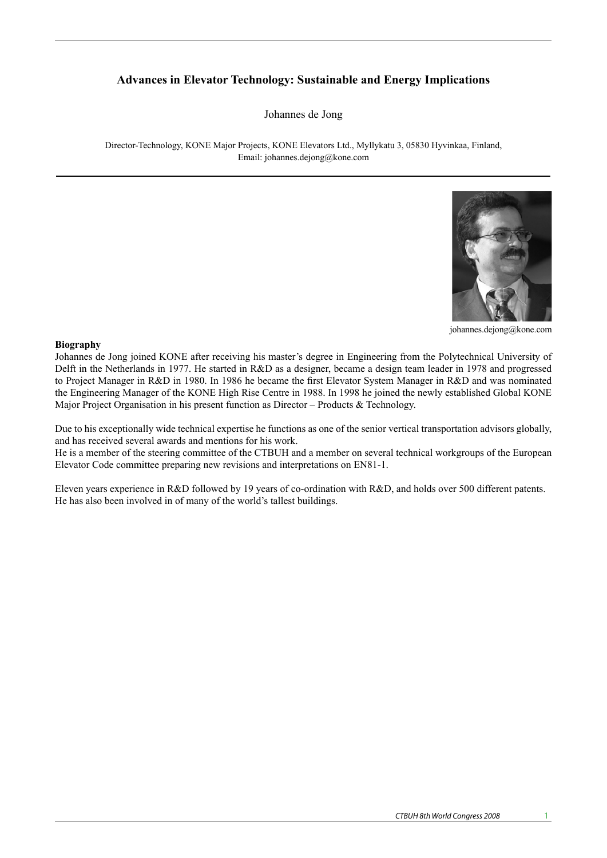# **Advances in Elevator Technology: Sustainable and Energy Implications**

Johannes de Jong

Director-Technology, KONE Major Projects, KONE Elevators Ltd., Myllykatu 3, 05830 Hyvinkaa, Finland, Email: johannes.dejong@kone.com



johannes.dejong@kone.com

## **Biography**

**Biography**<br>Johannes de Jong joined KONE after receiving his master's degree in Engineering from the Polytechnical University of Delft in the Netherlands in 1977. He started in R&D as a designer, became a design team leader in 1978 and progressed to Project Manager in R&D in 1980. In 1986 he became the first Elevator System Manager in R&D and was nominated the Engineering Manager of the KONE High Rise Centre in 1988. In 1998 he joined the newly established Global KONE Major Project Organisation in his present function as Director – Products & Technology.

Due to his exceptionally wide technical expertise he functions as one of the senior vertical transportation advisors globally, and has received several awards and mentions for his work. **Introduction**  his exceptionally wide technical expertise he function can make more trips and thus move more passengers. s one of the senior vertical transportation advisors globally, floors, depending on the floor size, to keep waiting times

He is a member of the steering committee of the CTBUH and a member on several technical workgroups of the European Elevator Code committee preparing new revisions and interpretations on EN81-1. member on se

Eleven years experience in R&D followed by 19 years of co-ordination with R&D, and holds over 500 different patents. He has also been involved in of many of the world's tallest buildings. became more sophisticated they allowed ever-higher Eleven years experience in R&D followed by 19 years of co-ordination with R&D, and holds over 500 di-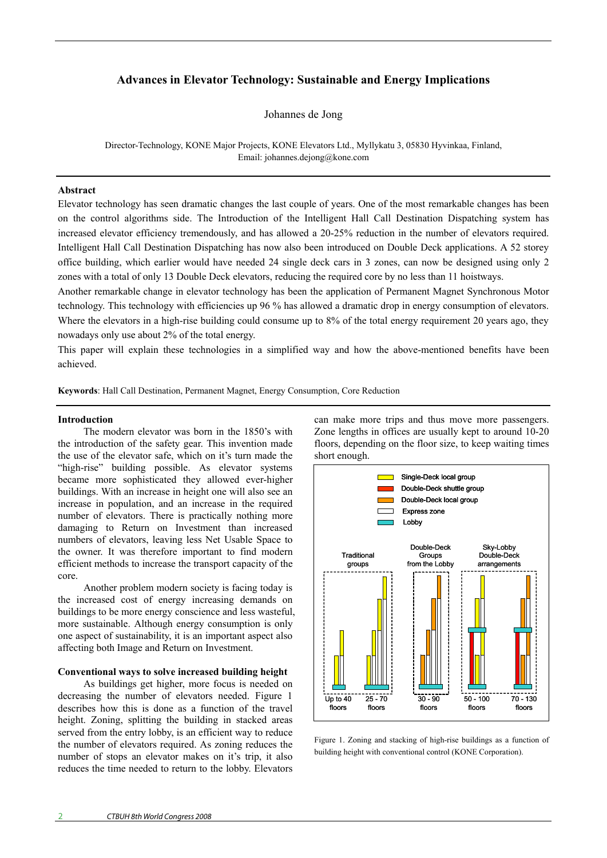## **Advances in Elevator Technology: Sustainable and Energy Implications**

Johannes de Jong

Director-Technology, KONE Major Projects, KONE Elevators Ltd., Myllykatu 3, 05830 Hyvinkaa, Finland, Email: johannes.dejong@kone.com

#### **Abstract**

Elevator technology has seen dramatic changes the last couple of years. One of the most remarkable changes has been on the control algorithms side. The Introduction of the Intelligent Hall Call Destination Dispatching system has increased elevator efficiency tremendously, and has allowed a 20-25% reduction in the number of elevators required. Intelligent Hall Call Destination Dispatching has now also been introduced on Double Deck applications. A 52 storey office building, which earlier would have needed 24 single deck cars in 3 zones, can now be designed using only 2 zones with a total of only 13 Double Deck elevators, reducing the required core by no less than 11 hoistways.

Another remarkable change in elevator technology has been the application of Permanent Magnet Synchronous Motor technology. This technology with efficiencies up 96 % has allowed a dramatic drop in energy consumption of elevators. Where the elevators in a high-rise building could consume up to 8% of the total energy requirement 20 years ago, they nowadays only use about 2% of the total energy.

This paper will explain these technologies in a simplified way and how the above-mentioned benefits have been achieved.

**Keywords**: Hall Call Destination, Permanent Magnet, Energy Consumption, Core Reduction

#### **Introduction**

The modern elevator was born in the 1850's with the introduction of the safety gear. This invention made the use of the elevator safe, which on it's turn made the "high-rise" building possible. As elevator systems became more sophisticated they allowed ever-higher buildings. With an increase in height one will also see an increase in population, and an increase in the required number of elevators. There is practically nothing more damaging to Return on Investment than increased numbers of elevators, leaving less Net Usable Space to the owner. It was therefore important to find modern efficient methods to increase the transport capacity of the core.

Another problem modern society is facing today is the increased cost of energy increasing demands on buildings to be more energy conscience and less wasteful, more sustainable. Although energy consumption is only one aspect of sustainability, it is an important aspect also affecting both Image and Return on Investment.

## **Conventional ways to solve increased building height**

As buildings get higher, more focus is needed on decreasing the number of elevators needed. Figure 1 describes how this is done as a function of the travel height. Zoning, splitting the building in stacked areas served from the entry lobby, is an efficient way to reduce the number of elevators required. As zoning reduces the number of stops an elevator makes on it's trip, it also reduces the time needed to return to the lobby. Elevators

can make more trips and thus move more passengers. Zone lengths in offices are usually kept to around 10-20 floors, depending on the floor size, to keep waiting times short enough.



Figure 1. Zoning and stacking of high-rise buildings as a function of building height with conventional control (KONE Corporation).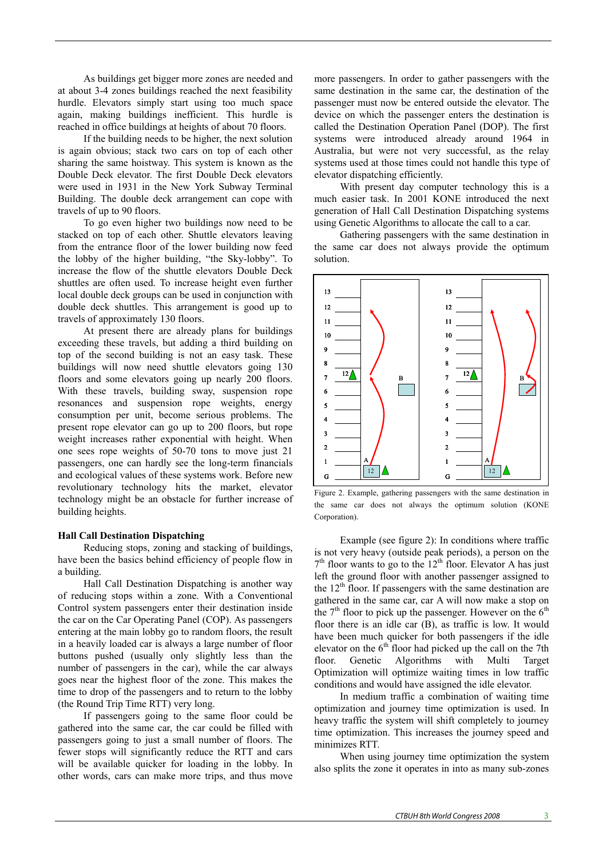As buildings get bigger more zones are needed and at about 3-4 zones buildings reached the next feasibility hurdle. Elevators simply start using too much space again, making buildings inefficient. This hurdle is reached in office buildings at heights of about 70 floors.

If the building needs to be higher, the next solution is again obvious; stack two cars on top of each other sharing the same hoistway. This system is known as the Double Deck elevator. The first Double Deck elevators were used in 1931 in the New York Subway Terminal Building. The double deck arrangement can cope with travels of up to 90 floors.

To go even higher two buildings now need to be stacked on top of each other. Shuttle elevators leaving from the entrance floor of the lower building now feed the lobby of the higher building, "the Sky-lobby". To increase the flow of the shuttle elevators Double Deck shuttles are often used. To increase height even further local double deck groups can be used in conjunction with double deck shuttles. This arrangement is good up to travels of approximately 130 floors.

At present there are already plans for buildings exceeding these travels, but adding a third building on top of the second building is not an easy task. These buildings will now need shuttle elevators going 130 floors and some elevators going up nearly 200 floors. With these travels, building sway, suspension rope resonances and suspension rope weights, energy consumption per unit, become serious problems. The present rope elevator can go up to 200 floors, but rope weight increases rather exponential with height. When one sees rope weights of 50-70 tons to move just 21 passengers, one can hardly see the long-term financials and ecological values of these systems work. Before new revolutionary technology hits the market, elevator technology might be an obstacle for further increase of building heights.

## **Hall Call Destination Dispatching**

Reducing stops, zoning and stacking of buildings, have been the basics behind efficiency of people flow in a building.

Hall Call Destination Dispatching is another way of reducing stops within a zone. With a Conventional Control system passengers enter their destination inside the car on the Car Operating Panel (COP). As passengers entering at the main lobby go to random floors, the result in a heavily loaded car is always a large number of floor buttons pushed (usually only slightly less than the number of passengers in the car), while the car always goes near the highest floor of the zone. This makes the time to drop of the passengers and to return to the lobby (the Round Trip Time RTT) very long.

If passengers going to the same floor could be gathered into the same car, the car could be filled with passengers going to just a small number of floors. The fewer stops will significantly reduce the RTT and cars will be available quicker for loading in the lobby. In other words, cars can make more trips, and thus move

more passengers. In order to gather passengers with the same destination in the same car, the destination of the passenger must now be entered outside the elevator. The device on which the passenger enters the destination is called the Destination Operation Panel (DOP). The first systems were introduced already around 1964 in Australia, but were not very successful, as the relay systems used at those times could not handle this type of elevator dispatching efficiently.

With present day computer technology this is a much easier task. In 2001 KONE introduced the next generation of Hall Call Destination Dispatching systems using Genetic Algorithms to allocate the call to a car.

Gathering passengers with the same destination in the same car does not always provide the optimum solution.



Figure 2. Example, gathering passengers with the same destination in the same car does not always the optimum solution (KONE Corporation).

Example (see figure 2): In conditions where traffic is not very heavy (outside peak periods), a person on the  $7<sup>th</sup>$  floor wants to go to the 12<sup>th</sup> floor. Elevator A has just left the ground floor with another passenger assigned to the  $12<sup>th</sup>$  floor. If passengers with the same destination are gathered in the same car, car A will now make a stop on the  $7<sup>th</sup>$  floor to pick up the passenger. However on the  $6<sup>th</sup>$ floor there is an idle car (B), as traffic is low. It would have been much quicker for both passengers if the idle elevator on the 6<sup>th</sup> floor had picked up the call on the 7th floor. Genetic Algorithms with Multi Target Optimization will optimize waiting times in low traffic conditions and would have assigned the idle elevator.

In medium traffic a combination of waiting time optimization and journey time optimization is used. In heavy traffic the system will shift completely to journey time optimization. This increases the journey speed and minimizes RTT.

When using journey time optimization the system also splits the zone it operates in into as many sub-zones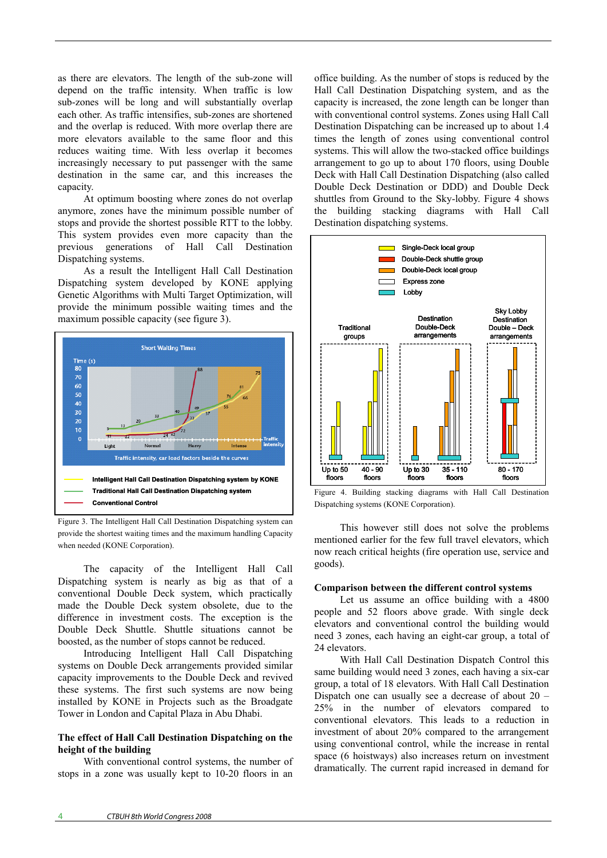as there are elevators. The length of the sub-zone will depend on the traffic intensity. When traffic is low sub-zones will be long and will substantially overlap each other. As traffic intensifies, sub-zones are shortened and the overlap is reduced. With more overlap there are more elevators available to the same floor and this reduces waiting time. With less overlap it becomes increasingly necessary to put passenger with the same destination in the same car, and this increases the capacity.

At optimum boosting where zones do not overlap anymore, zones have the minimum possible number of stops and provide the shortest possible RTT to the lobby. This system provides even more capacity than the previous generations of Hall Call Destination Dispatching systems.

As a result the Intelligent Hall Call Destination Dispatching system developed by KONE applying Genetic Algorithms with Multi Target Optimization, will provide the minimum possible waiting times and the maximum possible capacity (see figure 3).



Figure 3. The Intelligent Hall Call Destination Dispatching system can provide the shortest waiting times and the maximum handling Capacity when needed (KONE Corporation).

The capacity of the Intelligent Hall Call Dispatching system is nearly as big as that of a conventional Double Deck system, which practically made the Double Deck system obsolete, due to the difference in investment costs. The exception is the Double Deck Shuttle. Shuttle situations cannot be boosted, as the number of stops cannot be reduced.

Introducing Intelligent Hall Call Dispatching systems on Double Deck arrangements provided similar capacity improvements to the Double Deck and revived these systems. The first such systems are now being installed by KONE in Projects such as the Broadgate Tower in London and Capital Plaza in Abu Dhabi.

## **The effect of Hall Call Destination Dispatching on the height of the building**

With conventional control systems, the number of stops in a zone was usually kept to 10-20 floors in an

office building. As the number of stops is reduced by the Hall Call Destination Dispatching system, and as the capacity is increased, the zone length can be longer than with conventional control systems. Zones using Hall Call Destination Dispatching can be increased up to about 1.4 times the length of zones using conventional control systems. This will allow the two-stacked office buildings arrangement to go up to about 170 floors, using Double Deck with Hall Call Destination Dispatching (also called Double Deck Destination or DDD) and Double Deck shuttles from Ground to the Sky-lobby. Figure 4 shows the building stacking diagrams with Hall Call Destination dispatching systems.



Figure 4. Building stacking diagrams with Hall Call Destination Dispatching systems (KONE Corporation).

This however still does not solve the problems mentioned earlier for the few full travel elevators, which now reach critical heights (fire operation use, service and goods).

## **Comparison between the different control systems**

Let us assume an office building with a 4800 people and 52 floors above grade. With single deck elevators and conventional control the building would need 3 zones, each having an eight-car group, a total of 24 elevators.

With Hall Call Destination Dispatch Control this same building would need 3 zones, each having a six-car group, a total of 18 elevators. With Hall Call Destination Dispatch one can usually see a decrease of about 20 – 25% in the number of elevators compared to conventional elevators. This leads to a reduction in investment of about 20% compared to the arrangement using conventional control, while the increase in rental space (6 hoistways) also increases return on investment dramatically. The current rapid increased in demand for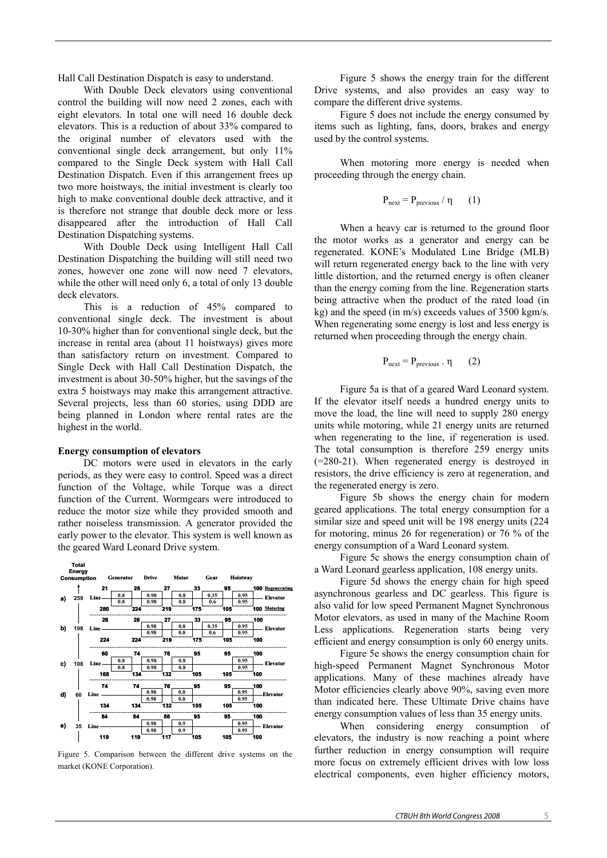Hall Call Destination Dispatch is easy to understand.

With Double Deck elevators using conventional control the building will now need 2 zones, each with eight elevators. In total one will need 16 double deck elevators. This is a reduction of about 33% compared to the original number of elevators used with the conventional single deck arrangement, but only 11% compared to the Single Deck system with Hall Call Destination Dispatch. Even if this arrangement frees up two more hoistways, the initial investment is clearly too high to make conventional double deck attractive, and it is therefore not strange that double deck more or less disappeared after the introduction of Hall Call Destination Dispatching systems.

With Double Deck using Intelligent Hall Call Destination Dispatching the building will still need two zones, however one zone will now need 7 elevators, while the other will need only 6, a total of only 13 double deck elevators.

This is a reduction of 45% compared to conventional single deck. The investment is about 10-30% higher than for conventional single deck, but the increase in rental area (about 11 hoistways) gives more than satisfactory return on investment. Compared to Single Deck with Hall Call Destination Dispatch, the investment is about 30-50% higher, but the savings of the extra 5 hoistways may make this arrangement attractive. Several projects, less than 60 stories, using DDD are being planned in London where rental rates are the highest in the world.

#### **Energy consumption of elevators**

DC motors were used in elevators in the early periods, as they were easy to control. Speed was a direct function of the Voltage, while Torque was a direct function of the Current. Wormgears were introduced to reduce the motor size while they provided smooth and rather noiseless transmission. A generator provided the early power to the elevator. This system is well known as the geared Ward Leonard Drive system.



Figure 5. Comparison between the different drive systems on the market (KONE Corporation).

Figure 5 shows the energy train for the different Drive systems, and also provides an easy way to compare the different drive systems.

Figure 5 does not include the energy consumed by items such as lighting, fans, doors, brakes and energy used by the control systems.

When motoring more energy is needed when proceeding through the energy chain.

$$
P_{next} = P_{previous} / \eta \qquad (1)
$$

When a heavy car is returned to the ground floor the motor works as a generator and energy can be regenerated. KONE's Modulated Line Bridge (MLB) will return regenerated energy back to the line with very little distortion, and the returned energy is often cleaner than the energy coming from the line. Regeneration starts being attractive when the product of the rated load (in kg) and the speed (in m/s) exceeds values of 3500 kgm/s. When regenerating some energy is lost and less energy is returned when proceeding through the energy chain.

$$
P_{next} = P_{previous} . \eta \qquad (2)
$$

Figure 5a is that of a geared Ward Leonard system. If the elevator itself needs a hundred energy units to move the load, the line will need to supply 280 energy units while motoring, while 21 energy units are returned when regenerating to the line, if regeneration is used. The total consumption is therefore 259 energy units (=280-21). When regenerated energy is destroyed in resistors, the drive efficiency is zero at regeneration, and the regenerated energy is zero.

Figure 5b shows the energy chain for modern geared applications. The total energy consumption for a similar size and speed unit will be 198 energy units (224 for motoring, minus 26 for regeneration) or 76 % of the energy consumption of a Ward Leonard system.

Figure 5c shows the energy consumption chain of a Ward Leonard gearless application, 108 energy units.

Figure 5d shows the energy chain for high speed asynchronous gearless and DC gearless. This figure is also valid for low speed Permanent Magnet Synchronous Motor elevators, as used in many of the Machine Room Less applications. Regeneration starts being very efficient and energy consumption is only 60 energy units.

Figure 5e shows the energy consumption chain for high-speed Permanent Magnet Synchronous Motor applications. Many of these machines already have Motor efficiencies clearly above 90%, saving even more than indicated here. These Ultimate Drive chains have energy consumption values of less than 35 energy units.

When considering energy consumption of elevators, the industry is now reaching a point where further reduction in energy consumption will require more focus on extremely efficient drives with low loss electrical components, even higher efficiency motors,